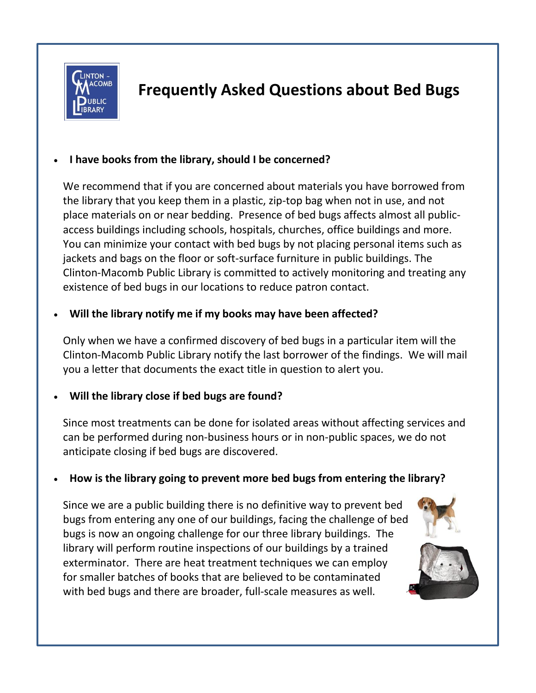

# **Frequently Asked Questions about Bed Bugs**

## **I have books from the library, should I be concerned?**

We recommend that if you are concerned about materials you have borrowed from the library that you keep them in a plastic, zip-top bag when not in use, and not place materials on or near bedding. Presence of bed bugs affects almost all publicaccess buildings including schools, hospitals, churches, office buildings and more. You can minimize your contact with bed bugs by not placing personal items such as jackets and bags on the floor or soft-surface furniture in public buildings. The Clinton-Macomb Public Library is committed to actively monitoring and treating any existence of bed bugs in our locations to reduce patron contact.

# **Will the library notify me if my books may have been affected?**

Only when we have a confirmed discovery of bed bugs in a particular item will the Clinton-Macomb Public Library notify the last borrower of the findings. We will mail you a letter that documents the exact title in question to alert you.

# **Will the library close if bed bugs are found?**

Since most treatments can be done for isolated areas without affecting services and can be performed during non-business hours or in non-public spaces, we do not anticipate closing if bed bugs are discovered.

### **How is the library going to prevent more bed bugs from entering the library?**

Since we are a public building there is no definitive way to prevent bed bugs from entering any one of our buildings, facing the challenge of bed bugs is now an ongoing challenge for our three library buildings. The library will perform routine inspections of our buildings by a trained exterminator. There are heat treatment techniques we can employ for smaller batches of books that are believed to be contaminated with bed bugs and there are broader, full-scale measures as well.